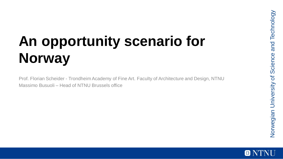# **An opportunity scenario for Norway**

Prof. Florian Scheider - Trondheim Academy of Fine Art. Faculty of Architecture and Design, NTNU Massimo Busuoli – Head of NTNU Brussels office

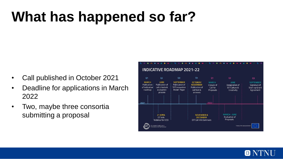# **What has happened so far?**

- Call published in October 2021
- Deadline for applications in March 2022
- Two, maybe three consortia submitting a proposal

| <b>INDICATIVE ROADMAP 2021-22</b>                                                |                                                                           |                                                                           |                                                                         |                                                          |                                                              |                                                                 |
|----------------------------------------------------------------------------------|---------------------------------------------------------------------------|---------------------------------------------------------------------------|-------------------------------------------------------------------------|----------------------------------------------------------|--------------------------------------------------------------|-----------------------------------------------------------------|
|                                                                                  |                                                                           |                                                                           |                                                                         |                                                          |                                                              |                                                                 |
| Q1                                                                               | Q <sub>2</sub>                                                            | Q3                                                                        | Q <sub>4</sub>                                                          | Q1                                                       | Q <sub>2</sub>                                               | Q3                                                              |
| <b>MARCH</b><br>Publication<br>of indicative<br>roadmap                          | <b>JUNE</b><br>Publication of<br>call criteria &<br>evaluation<br>process | <b>SEPTEMBER</b><br>Publication of<br>'EIT Innovation<br>Model' Paper     | OCTOBER/<br><b>NOVEMBER</b><br>Publication of<br>call text &<br>annexes | <b>MARCH</b><br>Closure of<br>Call for<br>Proposals      | <b>IUNE</b><br>Designation of<br>EIT Culture &<br>Creativity | <b>SEPTEMBER</b><br>Signature of<br>Start-up Grant<br>Agreement |
| 2021                                                                             |                                                                           |                                                                           |                                                                         | 2022                                                     |                                                              |                                                                 |
| 21 APRIL<br>EIT Info<br><b>Webinar for CCSI</b>                                  |                                                                           | <b>NOVEMBER &amp;</b><br><b>DECEMBER</b><br><b>EIT Call Info Seminars</b> |                                                                         | <b>MARCH - JUNE</b><br><b>Evaluation of</b><br>Proposals |                                                              |                                                                 |
| European Institute of<br>A body of the European Union<br>Innovation & Technology |                                                                           |                                                                           |                                                                         |                                                          |                                                              |                                                                 |

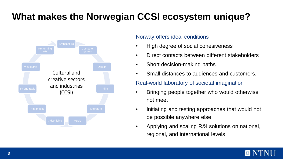### **What makes the Norwegian CCSI ecosystem unique?**



#### Norway offers ideal conditions

- High degree of social cohesiveness
- Direct contacts between different stakeholders
- Short decision-making paths
- Small distances to audiences and customers.

#### Real-world laboratory of societal imagination

- Bringing people together who would otherwise not meet
- Initiating and testing approaches that would not be possible anywhere else
- Applying and scaling R&I solutions on national, regional, and international levels

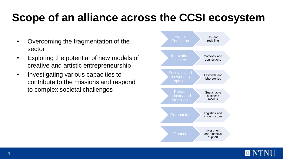### **Scope of an alliance across the CCSI ecosystem**

- Overcoming the fragmentation of the sector
- Exploring the potential of new models of creative and artistic entrepreneurship
- Investigating various capacities to contribute to the missions and respond to complex societal challenges



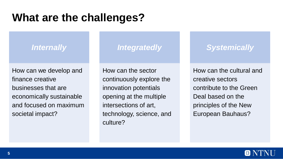### **What are the challenges?**

### *Internally*

How can we develop and finance creative businesses that are economically sustainable and focused on maximum societal impact?

### *Integratedly*

How can the sector continuously explore the innovation potentials opening at the multiple intersections of art, technology, science, and culture?

### *Systemically*

How can the cultural and creative sectors contribute to the Green Deal based on the principles of the New European Bauhaus?

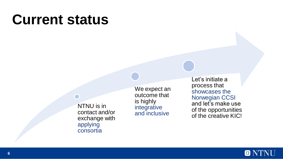## **Current status**

NTNU is in contact and/or exchange with applying consortia

We expect an outcome that is highly integrative and inclusive

Let's initiate a process that showcases the Norwegian CCSI and let's make use of the opportunities of the creative KIC!

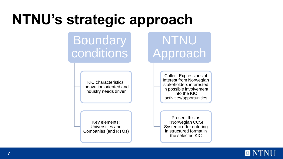## **NTNU's strategic approach**

## **Boundary** conditions

KIC characteristics: Innovation oriented and Industry needs driven

Key elements: Universities and Companies (and RTOs)

#### Collect Expressions of Interest from Norwegian stakeholders interested in possible involvement into the KIC activities/opportunities

NTNU

**Approach** 

Present this as «Norwegian CCSI System» offer entering in structured format in the selected KIC

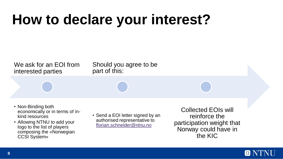## **How to declare your interest?**

We ask for an EOI from interested parties

Should you agree to be part of this:

- Non-Binding both economically or in terms of inkind resources
- Allowing NTNU to add your logo to the list of players composing the «Norwegian CCSI System»

• Send a EOI letter signed by an authorised representative to [florian.schneider@ntnu.no](mailto:florian.schneider@ntnu.no)

Collected EOIs will reinforce the participation weight that Norway could have in the KIC